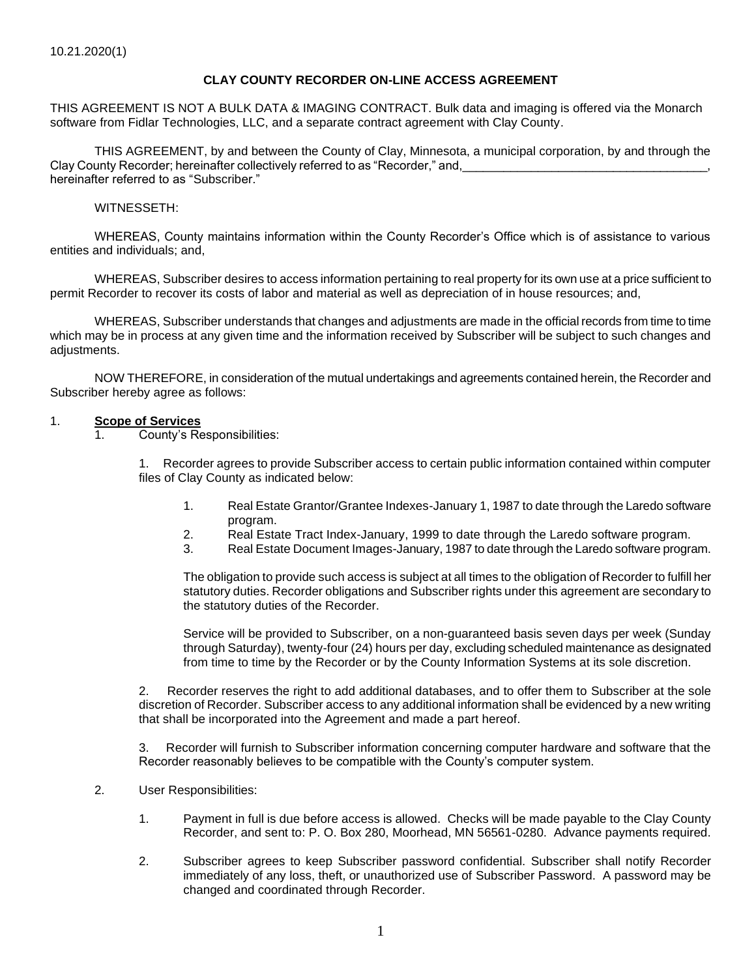### **CLAY COUNTY RECORDER ON-LINE ACCESS AGREEMENT**

THIS AGREEMENT IS NOT A BULK DATA & IMAGING CONTRACT. Bulk data and imaging is offered via the Monarch software from Fidlar Technologies, LLC, and a separate contract agreement with Clay County.

THIS AGREEMENT, by and between the County of Clay, Minnesota, a municipal corporation, by and through the Clay County Recorder; hereinafter collectively referred to as "Recorder," and, hereinafter referred to as "Subscriber."

#### WITNESSETH:

WHEREAS, County maintains information within the County Recorder's Office which is of assistance to various entities and individuals; and,

WHEREAS, Subscriber desires to access information pertaining to real property for its own use at a price sufficient to permit Recorder to recover its costs of labor and material as well as depreciation of in house resources; and,

WHEREAS, Subscriber understands that changes and adjustments are made in the official records from time to time which may be in process at any given time and the information received by Subscriber will be subject to such changes and adiustments.

NOW THEREFORE, in consideration of the mutual undertakings and agreements contained herein, the Recorder and Subscriber hereby agree as follows:

#### 1. **Scope of Services**

1. County's Responsibilities:

1. Recorder agrees to provide Subscriber access to certain public information contained within computer files of Clay County as indicated below:

- 1. Real Estate Grantor/Grantee Indexes-January 1, 1987 to date through the Laredo software program.
- 2. Real Estate Tract Index-January, 1999 to date through the Laredo software program.
- 3. Real Estate Document Images-January, 1987 to date through the Laredo software program.

The obligation to provide such access is subject at all times to the obligation of Recorder to fulfill her statutory duties. Recorder obligations and Subscriber rights under this agreement are secondary to the statutory duties of the Recorder.

Service will be provided to Subscriber, on a non-guaranteed basis seven days per week (Sunday through Saturday), twenty-four (24) hours per day, excluding scheduled maintenance as designated from time to time by the Recorder or by the County Information Systems at its sole discretion.

2. Recorder reserves the right to add additional databases, and to offer them to Subscriber at the sole discretion of Recorder. Subscriber access to any additional information shall be evidenced by a new writing that shall be incorporated into the Agreement and made a part hereof.

3. Recorder will furnish to Subscriber information concerning computer hardware and software that the Recorder reasonably believes to be compatible with the County's computer system.

- 2. User Responsibilities:
	- 1. Payment in full is due before access is allowed. Checks will be made payable to the Clay County Recorder, and sent to: P. O. Box 280, Moorhead, MN 56561-0280. Advance payments required.
	- 2. Subscriber agrees to keep Subscriber password confidential. Subscriber shall notify Recorder immediately of any loss, theft, or unauthorized use of Subscriber Password. A password may be changed and coordinated through Recorder.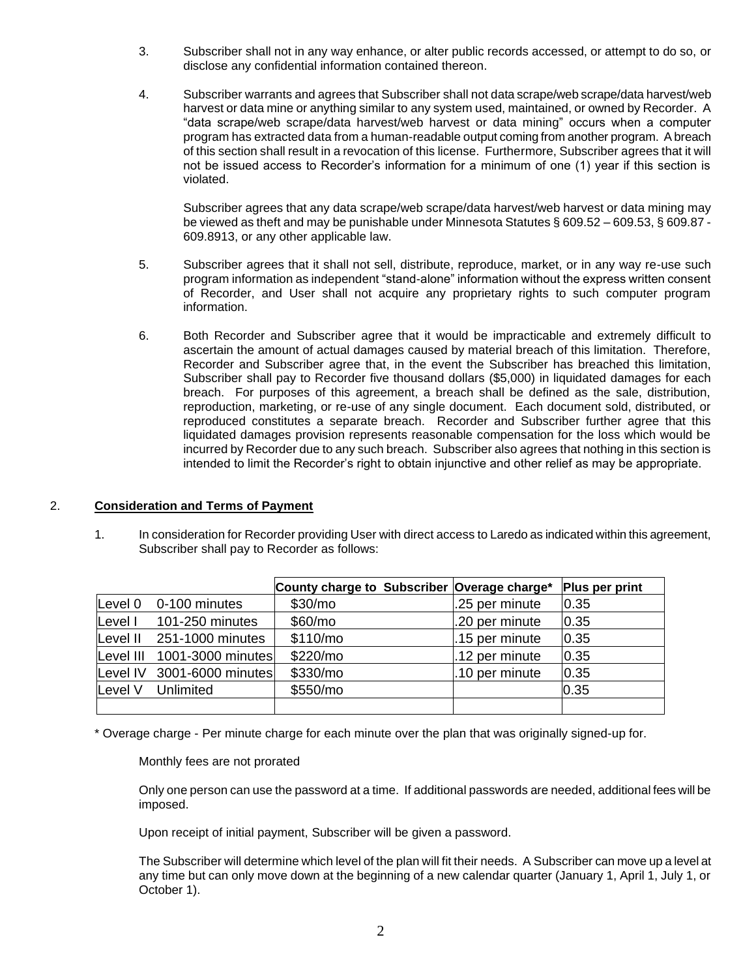- 3. Subscriber shall not in any way enhance, or alter public records accessed, or attempt to do so, or disclose any confidential information contained thereon.
- 4. Subscriber warrants and agrees that Subscriber shall not data scrape/web scrape/data harvest/web harvest or data mine or anything similar to any system used, maintained, or owned by Recorder. A "data scrape/web scrape/data harvest/web harvest or data mining" occurs when a computer program has extracted data from a human-readable output coming from another program. A breach of this section shall result in a revocation of this license. Furthermore, Subscriber agrees that it will not be issued access to Recorder's information for a minimum of one (1) year if this section is violated.

Subscriber agrees that any data scrape/web scrape/data harvest/web harvest or data mining may be viewed as theft and may be punishable under Minnesota Statutes § 609.52 – 609.53, § 609.87 - 609.8913, or any other applicable law.

- 5. Subscriber agrees that it shall not sell, distribute, reproduce, market, or in any way re-use such program information as independent "stand-alone" information without the express written consent of Recorder, and User shall not acquire any proprietary rights to such computer program information.
- 6. Both Recorder and Subscriber agree that it would be impracticable and extremely difficult to ascertain the amount of actual damages caused by material breach of this limitation. Therefore, Recorder and Subscriber agree that, in the event the Subscriber has breached this limitation, Subscriber shall pay to Recorder five thousand dollars (\$5,000) in liquidated damages for each breach. For purposes of this agreement, a breach shall be defined as the sale, distribution, reproduction, marketing, or re-use of any single document. Each document sold, distributed, or reproduced constitutes a separate breach. Recorder and Subscriber further agree that this liquidated damages provision represents reasonable compensation for the loss which would be incurred by Recorder due to any such breach. Subscriber also agrees that nothing in this section is intended to limit the Recorder's right to obtain injunctive and other relief as may be appropriate.

## 2. **Consideration and Terms of Payment**

1. In consideration for Recorder providing User with direct access to Laredo as indicated within this agreement, Subscriber shall pay to Recorder as follows:

|         |                             | County charge to Subscriber Overage charge* |                | Plus per print |
|---------|-----------------------------|---------------------------------------------|----------------|----------------|
| Level 0 | 0-100 minutes               | \$30/m <sub>o</sub>                         | .25 per minute | 0.35           |
| Level I | 101-250 minutes             | \$60/mo                                     | .20 per minute | 0.35           |
|         | Level II 251-1000 minutes   | \$110/mol                                   | .15 per minute | 0.35           |
|         | Level III 1001-3000 minutes | \$220/mo                                    | .12 per minute | 0.35           |
|         | Level IV 3001-6000 minutes  | \$330/mo                                    | .10 per minute | 0.35           |
| Level V | Unlimited                   | \$550/mo                                    |                | 0.35           |
|         |                             |                                             |                |                |

\* Overage charge - Per minute charge for each minute over the plan that was originally signed-up for.

#### Monthly fees are not prorated

Only one person can use the password at a time. If additional passwords are needed, additional fees will be imposed.

Upon receipt of initial payment, Subscriber will be given a password.

The Subscriber will determine which level of the plan will fit their needs. A Subscriber can move up a level at any time but can only move down at the beginning of a new calendar quarter (January 1, April 1, July 1, or October 1).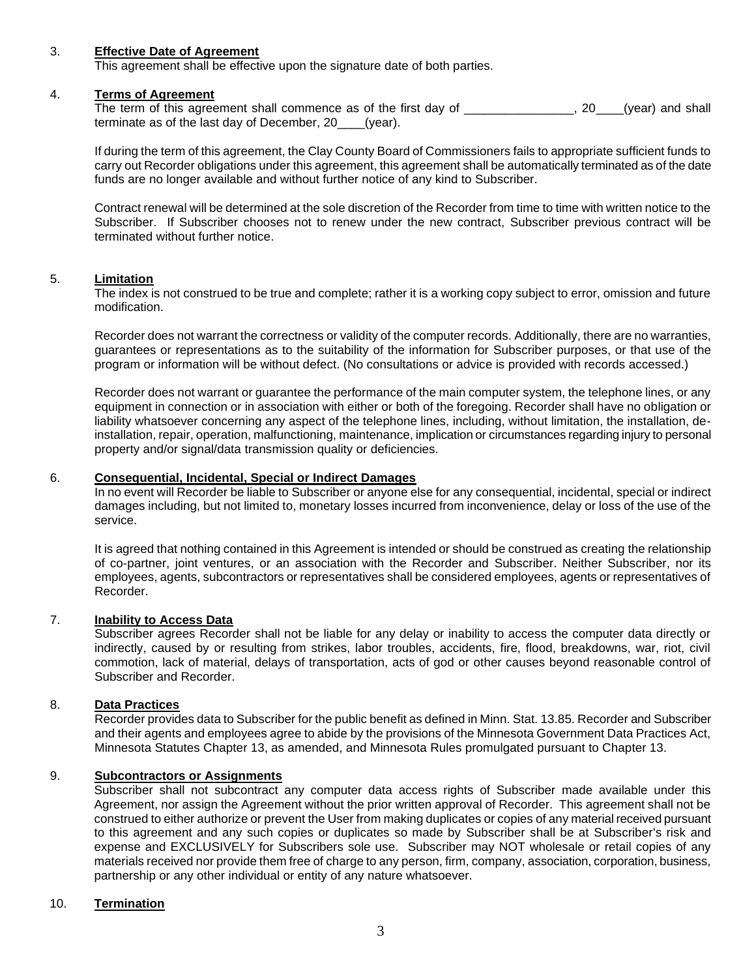#### 3. **Effective Date of Agreement**

This agreement shall be effective upon the signature date of both parties.

#### 4. **Terms of Agreement**

The term of this agreement shall commence as of the first day of \_\_\_\_\_\_\_\_\_\_\_\_\_\_\_, 20\_\_\_(year) and shall terminate as of the last day of December, 20\_\_\_\_(year).

If during the term of this agreement, the Clay County Board of Commissioners fails to appropriate sufficient funds to carry out Recorder obligations under this agreement, this agreement shall be automatically terminated as of the date funds are no longer available and without further notice of any kind to Subscriber.

Contract renewal will be determined at the sole discretion of the Recorder from time to time with written notice to the Subscriber. If Subscriber chooses not to renew under the new contract, Subscriber previous contract will be terminated without further notice.

### 5. **Limitation**

The index is not construed to be true and complete; rather it is a working copy subject to error, omission and future modification.

Recorder does not warrant the correctness or validity of the computer records. Additionally, there are no warranties, guarantees or representations as to the suitability of the information for Subscriber purposes, or that use of the program or information will be without defect. (No consultations or advice is provided with records accessed.)

Recorder does not warrant or guarantee the performance of the main computer system, the telephone lines, or any equipment in connection or in association with either or both of the foregoing. Recorder shall have no obligation or liability whatsoever concerning any aspect of the telephone lines, including, without limitation, the installation, deinstallation, repair, operation, malfunctioning, maintenance, implication or circumstances regarding injury to personal property and/or signal/data transmission quality or deficiencies.

### 6. **Consequential, Incidental, Special or Indirect Damages**

In no event will Recorder be liable to Subscriber or anyone else for any consequential, incidental, special or indirect damages including, but not limited to, monetary losses incurred from inconvenience, delay or loss of the use of the service.

It is agreed that nothing contained in this Agreement is intended or should be construed as creating the relationship of co-partner, joint ventures, or an association with the Recorder and Subscriber. Neither Subscriber, nor its employees, agents, subcontractors or representatives shall be considered employees, agents or representatives of Recorder.

#### 7. **Inability to Access Data**

Subscriber agrees Recorder shall not be liable for any delay or inability to access the computer data directly or indirectly, caused by or resulting from strikes, labor troubles, accidents, fire, flood, breakdowns, war, riot, civil commotion, lack of material, delays of transportation, acts of god or other causes beyond reasonable control of Subscriber and Recorder.

#### 8. **Data Practices**

Recorder provides data to Subscriber for the public benefit as defined in Minn. Stat. 13.85. Recorder and Subscriber and their agents and employees agree to abide by the provisions of the Minnesota Government Data Practices Act, Minnesota Statutes Chapter 13, as amended, and Minnesota Rules promulgated pursuant to Chapter 13.

# 9. **Subcontractors or Assignments**

Subscriber shall not subcontract any computer data access rights of Subscriber made available under this Agreement, nor assign the Agreement without the prior written approval of Recorder. This agreement shall not be construed to either authorize or prevent the User from making duplicates or copies of any material received pursuant to this agreement and any such copies or duplicates so made by Subscriber shall be at Subscriber's risk and expense and EXCLUSIVELY for Subscribers sole use. Subscriber may NOT wholesale or retail copies of any materials received nor provide them free of charge to any person, firm, company, association, corporation, business, partnership or any other individual or entity of any nature whatsoever.

## 10. **Termination**